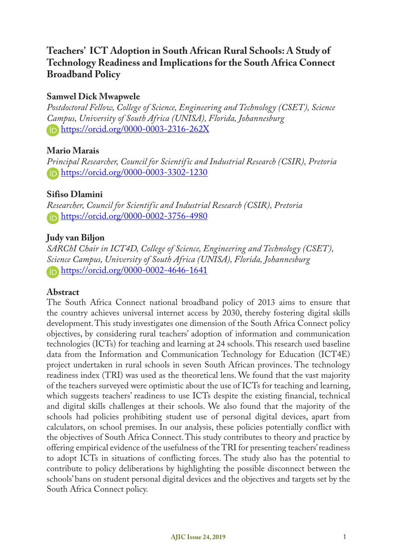# **Teachers' ICT Adoption in South African Rural Schools: A Study of Technology Readiness and Implications for the South Africa Connect Broadband Policy**

## **Samwel Dick Mwapwele**

*Postdoctoral Fellow, College of Science, Engineering and Technology (CSET), Science Campus, University of South Africa (UNISA), Florida, Johannesburg* https://orcid.org/0000-0003-2316-262X

## **Mario Marais**

*Principal Researcher, Council for Scientific and Industrial Research (CSIR), Pretoria* https://orcid.org/0000-0003-3302-1230

## **Sifiso Dlamini**

*Researcher, Council for Scientific and Industrial Research (CSIR), Pretoria* https://orcid.org/0000-0002-3756-4980

## **Judy van Biljon**

*SARChI Chair in ICT4D, College of Science, Engineering and Technology (CSET), Science Campus, University of South Africa (UNISA), Florida, Johannesburg* https://orcid.org/0000-0002-4646-1641

## **Abstract**

The South Africa Connect national broadband policy of 2013 aims to ensure that the country achieves universal internet access by 2030, thereby fostering digital skills development. This study investigates one dimension of the South Africa Connect policy objectives, by considering rural teachers' adoption of information and communication technologies (ICTs) for teaching and learning at 24 schools. This research used baseline data from the Information and Communication Technology for Education (ICT4E) project undertaken in rural schools in seven South African provinces. The technology readiness index (TRI) was used as the theoretical lens. We found that the vast majority of the teachers surveyed were optimistic about the use of ICTs for teaching and learning, which suggests teachers' readiness to use ICTs despite the existing financial, technical and digital skills challenges at their schools. We also found that the majority of the schools had policies prohibiting student use of personal digital devices, apart from calculators, on school premises. In our analysis, these policies potentially conflict with the objectives of South Africa Connect. This study contributes to theory and practice by offering empirical evidence of the usefulness of the TRI for presenting teachers' readiness to adopt ICTs in situations of conflicting forces. The study also has the potential to contribute to policy deliberations by highlighting the possible disconnect between the schools' bans on student personal digital devices and the objectives and targets set by the South Africa Connect policy.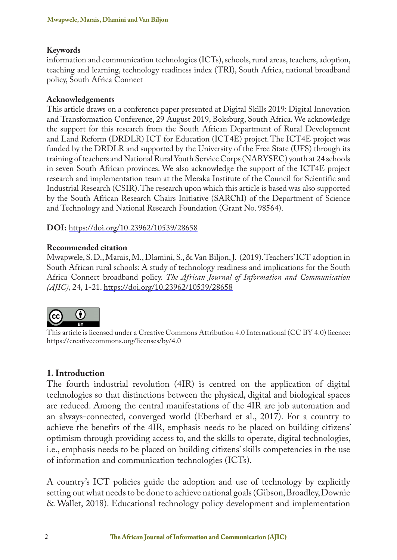#### **Keywords**

information and communication technologies (ICTs), schools, rural areas, teachers, adoption, teaching and learning, technology readiness index (TRI), South Africa, national broadband policy, South Africa Connect

#### **Acknowledgements**

This article draws on a conference paper presented at Digital Skills 2019: Digital Innovation and Transformation Conference, 29 August 2019, Boksburg, South Africa. We acknowledge the support for this research from the South African Department of Rural Development and Land Reform (DRDLR) ICT for Education (ICT4E) project. The ICT4E project was funded by the DRDLR and supported by the University of the Free State (UFS) through its training of teachers and National Rural Youth Service Corps (NARYSEC) youth at 24 schools in seven South African provinces. We also acknowledge the support of the ICT4E project research and implementation team at the Meraka Institute of the Council for Scientific and Industrial Research (CSIR). The research upon which this article is based was also supported by the South African Research Chairs Initiative (SARChI) of the Department of Science and Technology and National Research Foundation (Grant No. 98564).

**DOI:** https://doi.org/10.23962/10539/28658

#### **Recommended citation**

Mwapwele, S. D., Marais, M., Dlamini, S., & Van Biljon, J. (2019). Teachers' ICT adoption in South African rural schools: A study of technology readiness and implications for the South Africa Connect broadband policy. *The African Journal of Information and Communication (AJIC),* 24, 1-21. https://doi.org/10.23962/10539/28658



This article is licensed under a Creative Commons Attribution 4.0 International (CC BY 4.0) licence: https://creativecommons.org/licenses/by/4.0

#### **1. Introduction**

The fourth industrial revolution (4IR) is centred on the application of digital technologies so that distinctions between the physical, digital and biological spaces are reduced. Among the central manifestations of the 4IR are job automation and an always-connected, converged world (Eberhard et al., 2017). For a country to achieve the benefits of the 4IR, emphasis needs to be placed on building citizens' optimism through providing access to, and the skills to operate, digital technologies, i.e., emphasis needs to be placed on building citizens' skills competencies in the use of information and communication technologies (ICTs).

A country's ICT policies guide the adoption and use of technology by explicitly setting out what needs to be done to achieve national goals (Gibson, Broadley, Downie & Wallet, 2018). Educational technology policy development and implementation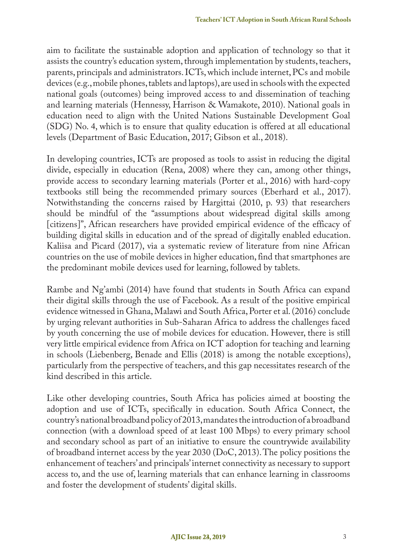aim to facilitate the sustainable adoption and application of technology so that it assists the country's education system, through implementation by students, teachers, parents, principals and administrators. ICTs, which include internet, PCs and mobile devices (e.g., mobile phones, tablets and laptops), are used in schools with the expected national goals (outcomes) being improved access to and dissemination of teaching and learning materials (Hennessy, Harrison & Wamakote, 2010). National goals in education need to align with the United Nations Sustainable Development Goal (SDG) No. 4, which is to ensure that quality education is offered at all educational levels (Department of Basic Education, 2017; Gibson et al., 2018).

In developing countries, ICTs are proposed as tools to assist in reducing the digital divide, especially in education (Rena, 2008) where they can, among other things, provide access to secondary learning materials (Porter et al., 2016) with hard-copy textbooks still being the recommended primary sources (Eberhard et al., 2017). Notwithstanding the concerns raised by Hargittai (2010, p. 93) that researchers should be mindful of the "assumptions about widespread digital skills among [citizens]", African researchers have provided empirical evidence of the efficacy of building digital skills in education and of the spread of digitally enabled education. Kaliisa and Picard (2017), via a systematic review of literature from nine African countries on the use of mobile devices in higher education, find that smartphones are the predominant mobile devices used for learning, followed by tablets.

Rambe and Ng'ambi (2014) have found that students in South Africa can expand their digital skills through the use of Facebook. As a result of the positive empirical evidence witnessed in Ghana, Malawi and South Africa, Porter et al. (2016) conclude by urging relevant authorities in Sub-Saharan Africa to address the challenges faced by youth concerning the use of mobile devices for education. However, there is still very little empirical evidence from Africa on ICT adoption for teaching and learning in schools (Liebenberg, Benade and Ellis (2018) is among the notable exceptions), particularly from the perspective of teachers, and this gap necessitates research of the kind described in this article.

Like other developing countries, South Africa has policies aimed at boosting the adoption and use of ICTs, specifically in education. South Africa Connect, the country's national broadband policy of 2013, mandates the introduction of a broadband connection (with a download speed of at least 100 Mbps) to every primary school and secondary school as part of an initiative to ensure the countrywide availability of broadband internet access by the year 2030 (DoC, 2013). The policy positions the enhancement of teachers' and principals' internet connectivity as necessary to support access to, and the use of, learning materials that can enhance learning in classrooms and foster the development of students' digital skills.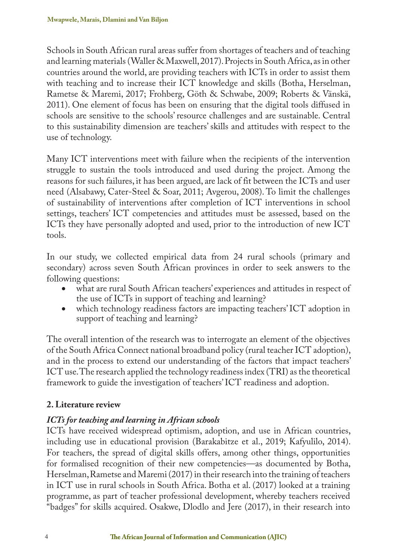Schools in South African rural areas suffer from shortages of teachers and of teaching and learning materials (Waller & Maxwell, 2017). Projects in South Africa, as in other countries around the world, are providing teachers with ICTs in order to assist them with teaching and to increase their ICT knowledge and skills (Botha, Herselman, Rametse & Maremi, 2017; Frohberg, Göth & Schwabe, 2009; Roberts & Vänskä, 2011). One element of focus has been on ensuring that the digital tools diffused in schools are sensitive to the schools' resource challenges and are sustainable. Central to this sustainability dimension are teachers' skills and attitudes with respect to the use of technology.

Many ICT interventions meet with failure when the recipients of the intervention struggle to sustain the tools introduced and used during the project. Among the reasons for such failures, it has been argued, are lack of fit between the ICTs and user need (Alsabawy, Cater-Steel & Soar, 2011; Avgerou, 2008). To limit the challenges of sustainability of interventions after completion of ICT interventions in school settings, teachers' ICT competencies and attitudes must be assessed, based on the ICTs they have personally adopted and used, prior to the introduction of new ICT tools.

In our study, we collected empirical data from 24 rural schools (primary and secondary) across seven South African provinces in order to seek answers to the following questions:

- what are rural South African teachers' experiences and attitudes in respect of the use of ICTs in support of teaching and learning?
- which technology readiness factors are impacting teachers' ICT adoption in support of teaching and learning?

The overall intention of the research was to interrogate an element of the objectives of the South Africa Connect national broadband policy (rural teacher ICT adoption), and in the process to extend our understanding of the factors that impact teachers' ICT use. The research applied the technology readiness index (TRI) as the theoretical framework to guide the investigation of teachers' ICT readiness and adoption.

## **2. Literature review**

## *ICTs for teaching and learning in African schools*

ICTs have received widespread optimism, adoption, and use in African countries, including use in educational provision (Barakabitze et al., 2019; Kafyulilo, 2014). For teachers, the spread of digital skills offers, among other things, opportunities for formalised recognition of their new competencies—as documented by Botha, Herselman, Rametse and Maremi (2017) in their research into the training of teachers in ICT use in rural schools in South Africa. Botha et al. (2017) looked at a training programme, as part of teacher professional development, whereby teachers received "badges" for skills acquired. Osakwe, Dlodlo and Jere (2017), in their research into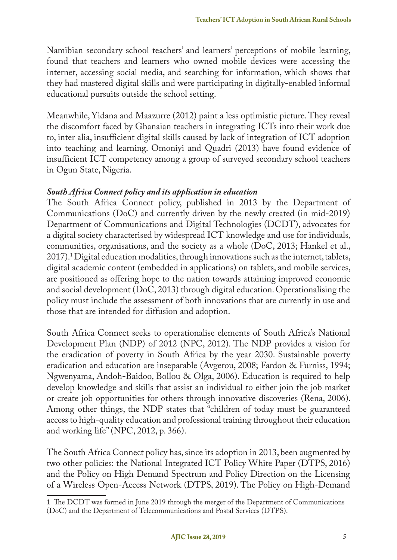Namibian secondary school teachers' and learners' perceptions of mobile learning, found that teachers and learners who owned mobile devices were accessing the internet, accessing social media, and searching for information, which shows that they had mastered digital skills and were participating in digitally-enabled informal educational pursuits outside the school setting.

Meanwhile, Yidana and Maazurre (2012) paint a less optimistic picture. They reveal the discomfort faced by Ghanaian teachers in integrating ICTs into their work due to, inter alia, insufficient digital skills caused by lack of integration of ICT adoption into teaching and learning. Omoniyi and Quadri (2013) have found evidence of insufficient ICT competency among a group of surveyed secondary school teachers in Ogun State, Nigeria.

### *South Africa Connect policy and its application in education*

The South Africa Connect policy, published in 2013 by the Department of Communications (DoC) and currently driven by the newly created (in mid-2019) Department of Communications and Digital Technologies (DCDT), advocates for a digital society characterised by widespread ICT knowledge and use for individuals, communities, organisations, and the society as a whole (DoC, 2013; Hankel et al., 2017). 1 Digital education modalities, through innovations such as the internet, tablets, digital academic content (embedded in applications) on tablets, and mobile services, are positioned as offering hope to the nation towards attaining improved economic and social development (DoC, 2013) through digital education. Operationalising the policy must include the assessment of both innovations that are currently in use and those that are intended for diffusion and adoption.

South Africa Connect seeks to operationalise elements of South Africa's National Development Plan (NDP) of 2012 (NPC, 2012). The NDP provides a vision for the eradication of poverty in South Africa by the year 2030. Sustainable poverty eradication and education are inseparable (Avgerou, 2008; Fardon & Furniss, 1994; Ngwenyama, Andoh-Baidoo, Bollou & Olga, 2006). Education is required to help develop knowledge and skills that assist an individual to either join the job market or create job opportunities for others through innovative discoveries (Rena, 2006). Among other things, the NDP states that "children of today must be guaranteed access to high-quality education and professional training throughout their education and working life" (NPC, 2012, p. 366).

The South Africa Connect policy has, since its adoption in 2013, been augmented by two other policies: the National Integrated ICT Policy White Paper (DTPS, 2016) and the Policy on High Demand Spectrum and Policy Direction on the Licensing of a Wireless Open-Access Network (DTPS, 2019). The Policy on High-Demand

<sup>1</sup> The DCDT was formed in June 2019 through the merger of the Department of Communications (DoC) and the Department of Telecommunications and Postal Services (DTPS).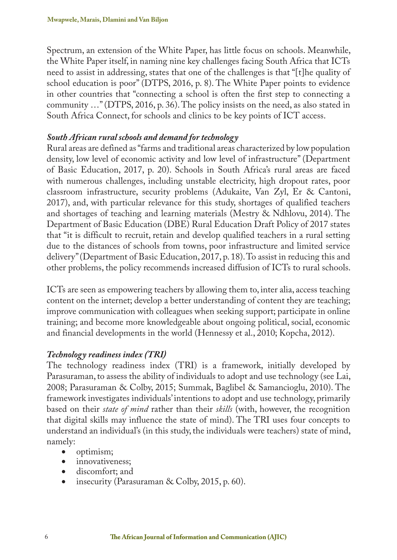Spectrum, an extension of the White Paper, has little focus on schools. Meanwhile, the White Paper itself, in naming nine key challenges facing South Africa that ICTs need to assist in addressing, states that one of the challenges is that "[t]he quality of school education is poor" (DTPS, 2016, p. 8). The White Paper points to evidence in other countries that "connecting a school is often the first step to connecting a community …" (DTPS, 2016, p. 36). The policy insists on the need, as also stated in South Africa Connect, for schools and clinics to be key points of ICT access.

#### *South African rural schools and demand for technology*

Rural areas are defined as "farms and traditional areas characterized by low population density, low level of economic activity and low level of infrastructure" (Department of Basic Education, 2017, p. 20). Schools in South Africa's rural areas are faced with numerous challenges, including unstable electricity, high dropout rates, poor classroom infrastructure, security problems (Adukaite, Van Zyl, Er & Cantoni, 2017), and, with particular relevance for this study, shortages of qualified teachers and shortages of teaching and learning materials (Mestry & Ndhlovu, 2014). The Department of Basic Education (DBE) Rural Education Draft Policy of 2017 states that "it is difficult to recruit, retain and develop qualified teachers in a rural setting due to the distances of schools from towns, poor infrastructure and limited service delivery" (Department of Basic Education, 2017, p. 18). To assist in reducing this and other problems, the policy recommends increased diffusion of ICTs to rural schools.

ICTs are seen as empowering teachers by allowing them to, inter alia, access teaching content on the internet; develop a better understanding of content they are teaching; improve communication with colleagues when seeking support; participate in online training; and become more knowledgeable about ongoing political, social, economic and financial developments in the world (Hennessy et al., 2010; Kopcha, 2012).

#### *Technology readiness index (TRI)*

The technology readiness index (TRI) is a framework, initially developed by Parasuraman, to assess the ability of individuals to adopt and use technology (see Lai, 2008; Parasuraman & Colby, 2015; Summak, Baglibel & Samancioglu, 2010). The framework investigates individuals' intentions to adopt and use technology, primarily based on their *state of mind* rather than their *skills* (with, however, the recognition that digital skills may influence the state of mind). The TRI uses four concepts to understand an individual's (in this study, the individuals were teachers) state of mind, namely:

- optimism;
- innovativeness;
- discomfort; and
- insecurity (Parasuraman & Colby, 2015, p. 60).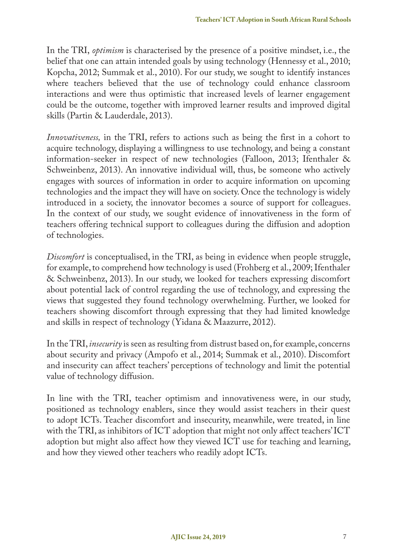In the TRI, *optimism* is characterised by the presence of a positive mindset, i.e., the belief that one can attain intended goals by using technology (Hennessy et al., 2010; Kopcha, 2012; Summak et al., 2010). For our study, we sought to identify instances where teachers believed that the use of technology could enhance classroom interactions and were thus optimistic that increased levels of learner engagement could be the outcome, together with improved learner results and improved digital skills (Partin & Lauderdale, 2013).

*Innovativeness,* in the TRI, refers to actions such as being the first in a cohort to acquire technology, displaying a willingness to use technology, and being a constant information-seeker in respect of new technologies (Falloon, 2013; Ifenthaler & Schweinbenz, 2013). An innovative individual will, thus, be someone who actively engages with sources of information in order to acquire information on upcoming technologies and the impact they will have on society. Once the technology is widely introduced in a society, the innovator becomes a source of support for colleagues. In the context of our study, we sought evidence of innovativeness in the form of teachers offering technical support to colleagues during the diffusion and adoption of technologies.

*Discomfort* is conceptualised, in the TRI, as being in evidence when people struggle, for example, to comprehend how technology is used (Frohberg et al., 2009; Ifenthaler & Schweinbenz, 2013). In our study, we looked for teachers expressing discomfort about potential lack of control regarding the use of technology, and expressing the views that suggested they found technology overwhelming. Further, we looked for teachers showing discomfort through expressing that they had limited knowledge and skills in respect of technology (Yidana & Maazurre, 2012).

In the TRI, *insecurity* is seen as resulting from distrust based on, for example, concerns about security and privacy (Ampofo et al., 2014; Summak et al., 2010). Discomfort and insecurity can affect teachers' perceptions of technology and limit the potential value of technology diffusion.

In line with the TRI, teacher optimism and innovativeness were, in our study, positioned as technology enablers, since they would assist teachers in their quest to adopt ICTs. Teacher discomfort and insecurity, meanwhile, were treated, in line with the TRI, as inhibitors of ICT adoption that might not only affect teachers' ICT adoption but might also affect how they viewed ICT use for teaching and learning, and how they viewed other teachers who readily adopt ICTs.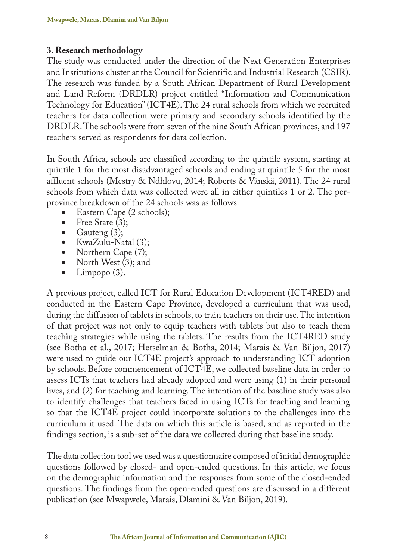## **3. Research methodology**

The study was conducted under the direction of the Next Generation Enterprises and Institutions cluster at the Council for Scientific and Industrial Research (CSIR). The research was funded by a South African Department of Rural Development and Land Reform (DRDLR) project entitled "Information and Communication Technology for Education" (ICT4E). The 24 rural schools from which we recruited teachers for data collection were primary and secondary schools identified by the DRDLR. The schools were from seven of the nine South African provinces, and 197 teachers served as respondents for data collection.

In South Africa, schools are classified according to the quintile system, starting at quintile 1 for the most disadvantaged schools and ending at quintile 5 for the most affluent schools (Mestry & Ndhlovu, 2014; Roberts & Vänskä, 2011). The 24 rural schools from which data was collected were all in either quintiles 1 or 2. The perprovince breakdown of the 24 schools was as follows:

- Eastern Cape (2 schools);<br>• Free State (3):
- Free State  $(3)$ ;
- Gauteng  $(3)$ ;
- KwaZulu-Natal (3);<br>• Northern Cape (7):
- Northern Cape (7);<br>• North West (3): and
- North West  $(3)$ ; and<br>• Limpopo  $(3)$
- Limpopo  $(3)$ .

A previous project, called ICT for Rural Education Development (ICT4RED) and conducted in the Eastern Cape Province, developed a curriculum that was used, during the diffusion of tablets in schools, to train teachers on their use. The intention of that project was not only to equip teachers with tablets but also to teach them teaching strategies while using the tablets. The results from the ICT4RED study (see Botha et al., 2017; Herselman & Botha, 2014; Marais & Van Biljon, 2017) were used to guide our ICT4E project's approach to understanding ICT adoption by schools. Before commencement of ICT4E, we collected baseline data in order to assess ICTs that teachers had already adopted and were using (1) in their personal lives, and (2) for teaching and learning. The intention of the baseline study was also to identify challenges that teachers faced in using ICTs for teaching and learning so that the ICT4E project could incorporate solutions to the challenges into the curriculum it used. The data on which this article is based, and as reported in the findings section, is a sub-set of the data we collected during that baseline study.

The data collection tool we used was a questionnaire composed of initial demographic questions followed by closed- and open-ended questions. In this article, we focus on the demographic information and the responses from some of the closed-ended questions. The findings from the open-ended questions are discussed in a different publication (see Mwapwele, Marais, Dlamini & Van Biljon, 2019).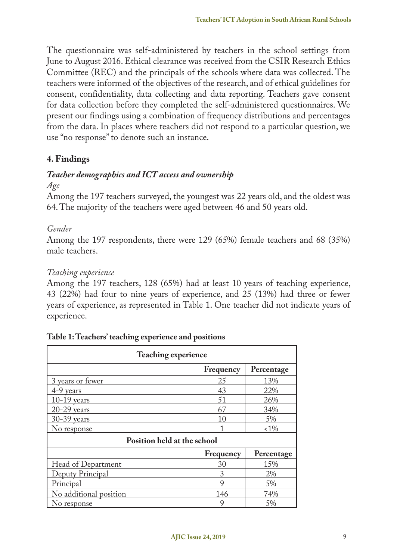The questionnaire was self-administered by teachers in the school settings from June to August 2016. Ethical clearance was received from the CSIR Research Ethics Committee (REC) and the principals of the schools where data was collected. The teachers were informed of the objectives of the research, and of ethical guidelines for consent, confidentiality, data collecting and data reporting. Teachers gave consent for data collection before they completed the self-administered questionnaires. We present our findings using a combination of frequency distributions and percentages from the data. In places where teachers did not respond to a particular question, we use "no response" to denote such an instance.

## **4. Findings**

# *Teacher demographics and ICT access and ownership*

*Age*

Among the 197 teachers surveyed, the youngest was 22 years old, and the oldest was 64. The majority of the teachers were aged between 46 and 50 years old.

## *Gender*

Among the 197 respondents, there were 129 (65%) female teachers and 68 (35%) male teachers.

## *Teaching experience*

Among the 197 teachers, 128 (65%) had at least 10 years of teaching experience, 43 (22%) had four to nine years of experience, and 25 (13%) had three or fewer years of experience, as represented in Table 1. One teacher did not indicate years of experience.

| <b>Teaching experience</b>  |           |            |  |  |
|-----------------------------|-----------|------------|--|--|
|                             | Frequency | Percentage |  |  |
| 3 years or fewer            | 25        | 13%        |  |  |
| 4-9 years                   | 43        | 22%        |  |  |
| $10-19$ years               | 51        | 26%        |  |  |
| $20-29$ years               | 67        | 34%        |  |  |
| $30-39$ years               | 10        | 5%         |  |  |
| No response                 |           | $1\%$      |  |  |
| Position held at the school |           |            |  |  |
|                             | Frequency | Percentage |  |  |
| Head of Department          | 30        | 15%        |  |  |
| Deputy Principal            | 3         | 2%         |  |  |
| Principal                   | 9         | 5%         |  |  |
| No additional position      | 146       | 74%        |  |  |
| No response                 | 9         | 5%         |  |  |

| Table 1: Teachers' teaching experience and positions |  |
|------------------------------------------------------|--|
|------------------------------------------------------|--|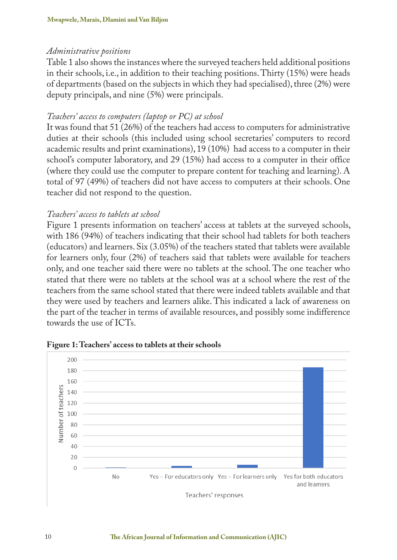#### *Administrative positions*

Table 1 also shows the instances where the surveyed teachers held additional positions in their schools, i.e., in addition to their teaching positions. Thirty (15%) were heads of departments (based on the subjects in which they had specialised), three (2%) were deputy principals, and nine (5%) were principals.

### *Teachers' access to computers (laptop or PC) at school*

It was found that 51 (26%) of the teachers had access to computers for administrative duties at their schools (this included using school secretaries' computers to record academic results and print examinations), 19 (10%) had access to a computer in their school's computer laboratory, and 29 (15%) had access to a computer in their office (where they could use the computer to prepare content for teaching and learning). A total of 97 (49%) of teachers did not have access to computers at their schools. One teacher did not respond to the question.

### *Teachers' access to tablets at school*

Figure 1 presents information on teachers' access at tablets at the surveyed schools, with 186 (94%) of teachers indicating that their school had tablets for both teachers (educators) and learners. Six (3.05%) of the teachers stated that tablets were available for learners only, four (2%) of teachers said that tablets were available for teachers only, and one teacher said there were no tablets at the school. The one teacher who stated that there were no tablets at the school was at a school where the rest of the teachers from the same school stated that there were indeed tablets available and that they were used by teachers and learners alike. This indicated a lack of awareness on the part of the teacher in terms of available resources, and possibly some indifference towards the use of ICTs.



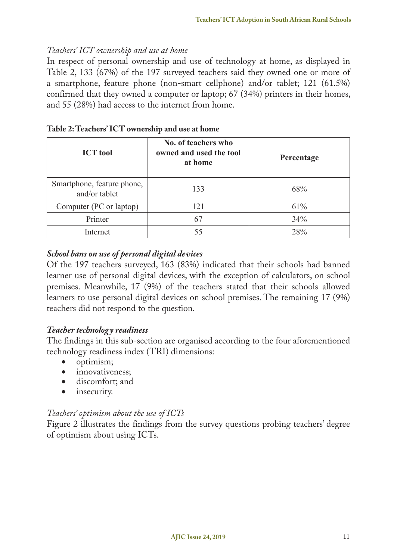### *Teachers' ICT ownership and use at home*

In respect of personal ownership and use of technology at home, as displayed in Table 2, 133 (67%) of the 197 surveyed teachers said they owned one or more of a smartphone, feature phone (non-smart cellphone) and/or tablet; 121 (61.5%) confirmed that they owned a computer or laptop; 67 (34%) printers in their homes, and 55 (28%) had access to the internet from home.

| <b>ICT</b> tool                             | No. of teachers who<br>owned and used the tool<br>at home | Percentage |
|---------------------------------------------|-----------------------------------------------------------|------------|
| Smartphone, feature phone,<br>and/or tablet | 133                                                       | 68%        |
| Computer (PC or laptop)                     | 121                                                       | 61%        |
| Printer                                     | 67                                                        | 34%        |
| Internet                                    |                                                           | 28%        |

|  | Table 2: Teachers' ICT ownership and use at home |
|--|--------------------------------------------------|
|--|--------------------------------------------------|

## *School bans on use of personal digital devices*

Of the 197 teachers surveyed, 163 (83%) indicated that their schools had banned learner use of personal digital devices, with the exception of calculators, on school premises. Meanwhile, 17 (9%) of the teachers stated that their schools allowed learners to use personal digital devices on school premises. The remaining 17 (9%) teachers did not respond to the question.

#### *Teacher technology readiness*

The findings in this sub-section are organised according to the four aforementioned technology readiness index (TRI) dimensions:

- optimism;
- innovativeness;
- discomfort; and
- insecurity.

#### *Teachers' optimism about the use of ICTs*

Figure 2 illustrates the findings from the survey questions probing teachers' degree of optimism about using ICTs.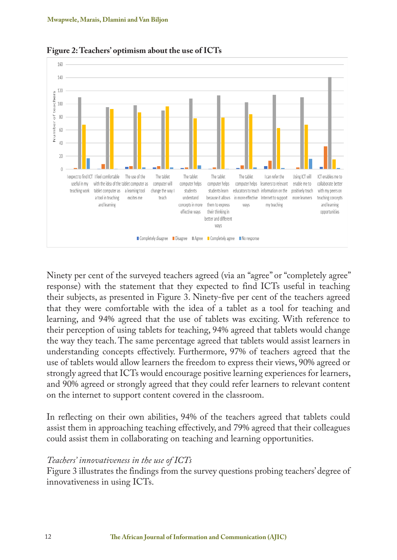

**Figure 2: Teachers' optimism about the use of ICTs**

Ninety per cent of the surveyed teachers agreed (via an "agree" or "completely agree" response) with the statement that they expected to find ICTs useful in teaching their subjects, as presented in Figure 3. Ninety-five per cent of the teachers agreed that they were comfortable with the idea of a tablet as a tool for teaching and learning, and 94% agreed that the use of tablets was exciting. With reference to their perception of using tablets for teaching, 94% agreed that tablets would change the way they teach. The same percentage agreed that tablets would assist learners in understanding concepts effectively. Furthermore, 97% of teachers agreed that the use of tablets would allow learners the freedom to express their views, 90% agreed or strongly agreed that ICTs would encourage positive learning experiences for learners, and 90% agreed or strongly agreed that they could refer learners to relevant content on the internet to support content covered in the classroom.

In reflecting on their own abilities, 94% of the teachers agreed that tablets could assist them in approaching teaching effectively, and 79% agreed that their colleagues could assist them in collaborating on teaching and learning opportunities.

#### *Teachers' innovativeness in the use of ICTs*

Figure 3 illustrates the findings from the survey questions probing teachers' degree of innovativeness in using ICTs.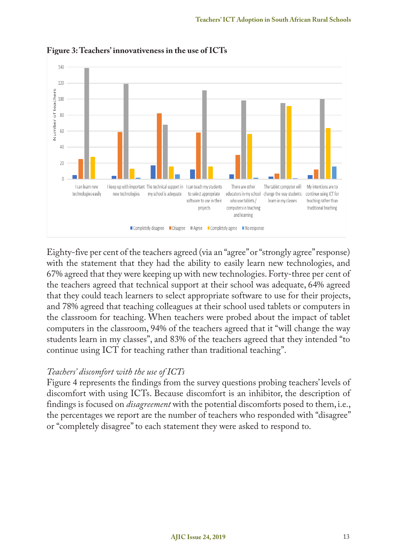

**Figure 3: Teachers' innovativeness in the use of ICTs**

Eighty-five per cent of the teachers agreed (via an "agree" or "strongly agree" response) with the statement that they had the ability to easily learn new technologies, and 67% agreed that they were keeping up with new technologies. Forty-three per cent of the teachers agreed that technical support at their school was adequate, 64% agreed that they could teach learners to select appropriate software to use for their projects, and 78% agreed that teaching colleagues at their school used tablets or computers in the classroom for teaching. When teachers were probed about the impact of tablet computers in the classroom, 94% of the teachers agreed that it "will change the way students learn in my classes", and 83% of the teachers agreed that they intended "to continue using ICT for teaching rather than traditional teaching".

#### *Teachers' discomfort with the use of ICTs*

Figure 4 represents the findings from the survey questions probing teachers' levels of discomfort with using ICTs. Because discomfort is an inhibitor, the description of findings is focused on *disagreement* with the potential discomforts posed to them, i.e., the percentages we report are the number of teachers who responded with "disagree" or "completely disagree" to each statement they were asked to respond to.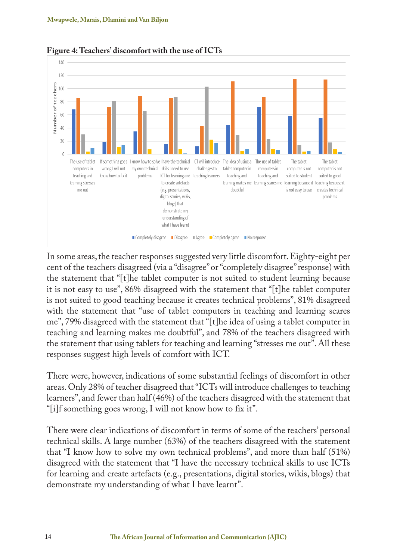

**Figure 4: Teachers' discomfort with the use of ICTs**

In some areas, the teacher responses suggested very little discomfort. Eighty-eight per cent of the teachers disagreed (via a "disagree" or "completely disagree" response) with the statement that "[t]he tablet computer is not suited to student learning because it is not easy to use", 86% disagreed with the statement that "[t]he tablet computer is not suited to good teaching because it creates technical problems", 81% disagreed with the statement that "use of tablet computers in teaching and learning scares me", 79% disagreed with the statement that "[t]he idea of using a tablet computer in teaching and learning makes me doubtful", and 78% of the teachers disagreed with the statement that using tablets for teaching and learning "stresses me out". All these responses suggest high levels of comfort with ICT.

There were, however, indications of some substantial feelings of discomfort in other areas. Only 28% of teacher disagreed that "ICTs will introduce challenges to teaching learners", and fewer than half (46%) of the teachers disagreed with the statement that "[i]f something goes wrong, I will not know how to fix it".

There were clear indications of discomfort in terms of some of the teachers' personal technical skills. A large number (63%) of the teachers disagreed with the statement that "I know how to solve my own technical problems", and more than half (51%) disagreed with the statement that "I have the necessary technical skills to use ICTs for learning and create artefacts (e.g., presentations, digital stories, wikis, blogs) that demonstrate my understanding of what I have learnt".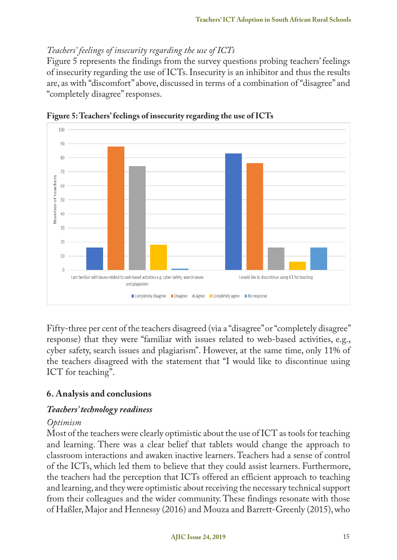## *Teachers' feelings of insecurity regarding the use of ICTs*

Figure 5 represents the findings from the survey questions probing teachers' feelings of insecurity regarding the use of ICTs. Insecurity is an inhibitor and thus the results are, as with "discomfort" above, discussed in terms of a combination of "disagree" and "completely disagree" responses.



**Figure 5: Teachers' feelings of insecurity regarding the use of ICTs**

Fifty-three per cent of the teachers disagreed (via a "disagree" or "completely disagree" response) that they were "familiar with issues related to web-based activities, e.g., cyber safety, search issues and plagiarism". However, at the same time, only 11% of the teachers disagreed with the statement that "I would like to discontinue using ICT for teaching".

## **6. Analysis and conclusions**

## *Teachers' technology readiness*

## *Optimism*

Most of the teachers were clearly optimistic about the use of ICT as tools for teaching and learning. There was a clear belief that tablets would change the approach to classroom interactions and awaken inactive learners. Teachers had a sense of control of the ICTs, which led them to believe that they could assist learners. Furthermore, the teachers had the perception that ICTs offered an efficient approach to teaching and learning, and they were optimistic about receiving the necessary technical support from their colleagues and the wider community. These findings resonate with those of Haßler, Major and Hennessy (2016) and Mouza and Barrett-Greenly (2015), who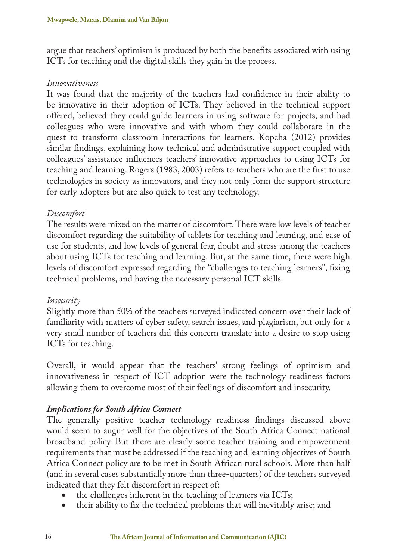argue that teachers' optimism is produced by both the benefits associated with using ICTs for teaching and the digital skills they gain in the process.

#### *Innovativeness*

It was found that the majority of the teachers had confidence in their ability to be innovative in their adoption of ICTs. They believed in the technical support offered, believed they could guide learners in using software for projects, and had colleagues who were innovative and with whom they could collaborate in the quest to transform classroom interactions for learners. Kopcha (2012) provides similar findings, explaining how technical and administrative support coupled with colleagues' assistance influences teachers' innovative approaches to using ICTs for teaching and learning. Rogers (1983, 2003) refers to teachers who are the first to use technologies in society as innovators, and they not only form the support structure for early adopters but are also quick to test any technology.

#### *Discomfort*

The results were mixed on the matter of discomfort. There were low levels of teacher discomfort regarding the suitability of tablets for teaching and learning, and ease of use for students, and low levels of general fear, doubt and stress among the teachers about using ICTs for teaching and learning. But, at the same time, there were high levels of discomfort expressed regarding the "challenges to teaching learners", fixing technical problems, and having the necessary personal ICT skills.

#### *Insecurity*

Slightly more than 50% of the teachers surveyed indicated concern over their lack of familiarity with matters of cyber safety, search issues, and plagiarism, but only for a very small number of teachers did this concern translate into a desire to stop using ICTs for teaching.

Overall, it would appear that the teachers' strong feelings of optimism and innovativeness in respect of ICT adoption were the technology readiness factors allowing them to overcome most of their feelings of discomfort and insecurity.

#### *Implications for South Africa Connect*

The generally positive teacher technology readiness findings discussed above would seem to augur well for the objectives of the South Africa Connect national broadband policy. But there are clearly some teacher training and empowerment requirements that must be addressed if the teaching and learning objectives of South Africa Connect policy are to be met in South African rural schools. More than half (and in several cases substantially more than three-quarters) of the teachers surveyed indicated that they felt discomfort in respect of:

- the challenges inherent in the teaching of learners via ICTs;
- their ability to fix the technical problems that will inevitably arise; and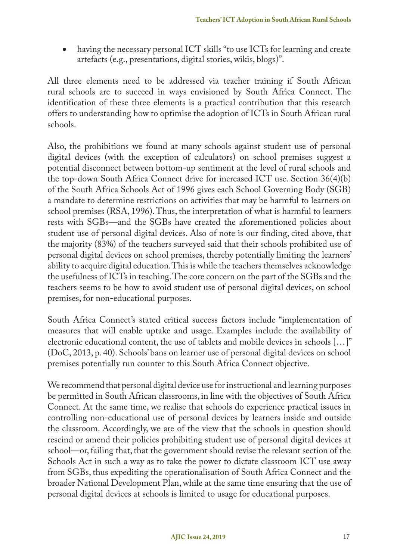• having the necessary personal ICT skills "to use ICTs for learning and create artefacts (e.g., presentations, digital stories, wikis, blogs)".

All three elements need to be addressed via teacher training if South African rural schools are to succeed in ways envisioned by South Africa Connect. The identification of these three elements is a practical contribution that this research offers to understanding how to optimise the adoption of ICTs in South African rural schools.

Also, the prohibitions we found at many schools against student use of personal digital devices (with the exception of calculators) on school premises suggest a potential disconnect between bottom-up sentiment at the level of rural schools and the top-down South Africa Connect drive for increased ICT use. Section 36(4)(b) of the South Africa Schools Act of 1996 gives each School Governing Body (SGB) a mandate to determine restrictions on activities that may be harmful to learners on school premises (RSA, 1996). Thus, the interpretation of what is harmful to learners rests with SGBs—and the SGBs have created the aforementioned policies about student use of personal digital devices. Also of note is our finding, cited above, that the majority (83%) of the teachers surveyed said that their schools prohibited use of personal digital devices on school premises, thereby potentially limiting the learners' ability to acquire digital education. This is while the teachers themselves acknowledge the usefulness of ICTs in teaching. The core concern on the part of the SGBs and the teachers seems to be how to avoid student use of personal digital devices, on school premises, for non-educational purposes.

South Africa Connect's stated critical success factors include "implementation of measures that will enable uptake and usage. Examples include the availability of electronic educational content, the use of tablets and mobile devices in schools […]" (DoC, 2013, p. 40). Schools' bans on learner use of personal digital devices on school premises potentially run counter to this South Africa Connect objective.

We recommend that personal digital device use for instructional and learning purposes be permitted in South African classrooms, in line with the objectives of South Africa Connect. At the same time, we realise that schools do experience practical issues in controlling non-educational use of personal devices by learners inside and outside the classroom. Accordingly, we are of the view that the schools in question should rescind or amend their policies prohibiting student use of personal digital devices at school—or, failing that, that the government should revise the relevant section of the Schools Act in such a way as to take the power to dictate classroom ICT use away from SGBs, thus expediting the operationalisation of South Africa Connect and the broader National Development Plan, while at the same time ensuring that the use of personal digital devices at schools is limited to usage for educational purposes.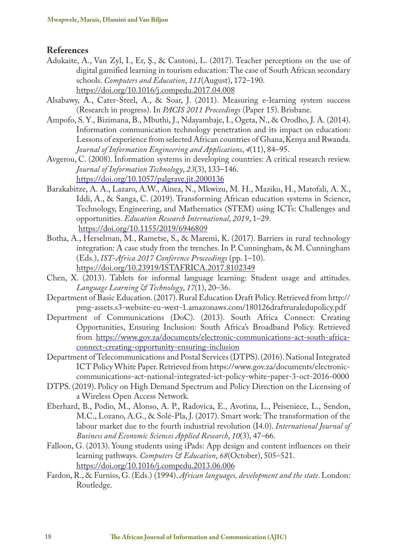#### **References**

- Adukaite, A., Van Zyl, I., Er, Ş., & Cantoni, L. (2017). Teacher perceptions on the use of digital gamified learning in tourism education: The case of South African secondary schools. *Computers and Education*, *111*(August), 172–190. https://doi.org/10.1016/j.compedu.2017.04.008
- Alsabawy, A., Cater-Steel, A., & Soar, J. (2011). Measuring e-learning system success (Research in progress). In *PACIS 2011 Proceedings* (Paper 15). Brisbane.
- Ampofo, S. Y., Bizimana, B., Mbuthi, J., Ndayambaje, I., Ogeta, N., & Orodho, J. A. (2014). Information communication technology penetration and its impact on education: Lessons of experience from selected African countries of Ghana, Kenya and Rwanda. *Journal of Information Engineering and Applications*, *4*(11), 84–95.
- Avgerou, C. (2008). Information systems in developing countries: A critical research review. *Journal of Information Technology*, *23*(3), 133–146. https://doi.org/10.1057/palgrave.jit.2000136
- Barakabitze, A. A., Lazaro, A.W., Ainea, N., Mkwizu, M. H., Maziku, H., Matofali, A. X., Iddi, A., & Sanga, C. (2019). Transforming African education systems in Science, Technology, Engineering, and Mathematics (STEM) using ICTs: Challenges and opportunities. *Education Research International*, *2019*, 1–29. https://doi.org/10.1155/2019/6946809
- Botha, A., Herselman, M., Rametse, S., & Maremi, K. (2017). Barriers in rural technology integration: A case study from the trenches. In P. Cunningham, & M. Cunningham (Eds.), *IST-Africa 2017 Conference Proceedings* (pp. 1–10). https://doi.org/10.23919/ISTAFRICA.2017.8102349
- Chen, X. (2013). Tablets for informal language learning: Student usage and attitudes. *Language Learning & Technology*, *17*(1), 20–36.
- Department of Basic Education. (2017). Rural Education Draft Policy. Retrieved from http:// pmg-assets.s3-website-eu-west-1.amazonaws.com/180126draftruraledupolicy.pdf
- Department of Communications (DoC). (2013). South Africa Connect: Creating Opportunities, Ensuring Inclusion: South Africa's Broadband Policy. Retrieved from https://www.gov.za/documents/electronic-communications-act-south-africaconnect-creating-opportunity-ensuring-inclusion
- Department of Telecommunications and Postal Services (DTPS). (2016). National Integrated ICT Policy White Paper. Retrieved from https://www.gov.za/documents/electroniccommunications-act-national-integrated-ict-policy-white-paper-3-oct-2016-0000
- DTPS. (2019). Policy on High Demand Spectrum and Policy Direction on the Licensing of a Wireless Open Access Network.
- Eberhard, B., Podio, M., Alonso, A. P., Radovica, E., Avotina, L., Peiseniece, L., Sendon, M.C., Lozano, A.G., & Solé-Pla, J. (2017). Smart work: The transformation of the labour market due to the fourth industrial revolution (I4.0). *International Journal of Business and Economic Sciences Applied Research*, *10*(3), 47–66.
- Falloon, G. (2013). Young students using iPads: App design and content influences on their learning pathways. *Computers & Education*, *68*(October), 505–521. https://doi.org/10.1016/j.compedu.2013.06.006
- Fardon, R., & Furniss, G. (Eds.) (1994). *African languages, development and the state*. London: Routledge.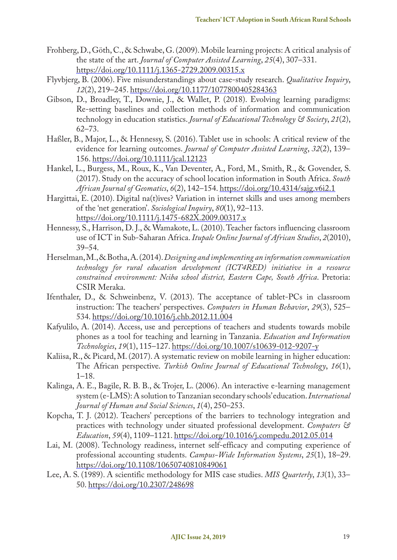- Frohberg, D., Göth, C., & Schwabe, G. (2009). Mobile learning projects: A critical analysis of the state of the art. *Journal of Computer Assisted Learning*, *25*(4), 307–331. https://doi.org/10.1111/j.1365-2729.2009.00315.x
- Flyvbjerg, B. (2006). Five misunderstandings about case-study research. *Qualitative Inquiry*, *12*(2), 219–245. https://doi.org/10.1177/1077800405284363
- Gibson, D., Broadley, T., Downie, J., & Wallet, P. (2018). Evolving learning paradigms: Re-setting baselines and collection methods of information and communication technology in education statistics. *Journal of Educational Technology & Society*, *21*(2), 62–73.
- Haßler, B., Major, L., & Hennessy, S. (2016). Tablet use in schools: A critical review of the evidence for learning outcomes. *Journal of Computer Assisted Learning*, *32*(2), 139– 156. https://doi.org/10.1111/jcal.12123
- Hankel, L., Burgess, M., Roux, K., Van Deventer, A., Ford, M., Smith, R., & Govender, S. (2017). Study on the accuracy of school location information in South Africa. *South African Journal of Geomatics*, *6*(2), 142–154. https://doi.org/10.4314/sajg.v6i2.1
- Hargittai, E. (2010). Digital na(t)ives? Variation in internet skills and uses among members of the 'net generation'. *Sociological Inquiry*, *80*(1), 92–113. https://doi.org/10.1111/j.1475-682X.2009.00317.x
- Hennessy, S., Harrison, D. J., & Wamakote, L. (2010). Teacher factors influencing classroom use of ICT in Sub-Saharan Africa. *Itupale Online Journal of African Studies*, *2*(2010), 39–54.
- Herselman, M., & Botha, A. (2014). *Designing and implementing an information communication technology for rural education development (ICT4RED) initiative in a resource constrained environment: Nciba school district, Eastern Cape, South Africa*. Pretoria: CSIR Meraka.
- Ifenthaler, D., & Schweinbenz, V. (2013). The acceptance of tablet-PCs in classroom instruction: The teachers' perspectives. *Computers in Human Behavior*, *29*(3), 525– 534. https://doi.org/10.1016/j.chb.2012.11.004
- Kafyulilo, A. (2014). Access, use and perceptions of teachers and students towards mobile phones as a tool for teaching and learning in Tanzania. *Education and Information Technologies*, *19*(1), 115–127. https://doi.org/10.1007/s10639-012-9207-y
- Kaliisa, R., & Picard, M. (2017). A systematic review on mobile learning in higher education: The African perspective. *Turkish Online Journal of Educational Technology*, *16*(1), 1–18.
- Kalinga, A. E., Bagile, R. B. B., & Trojer, L. (2006). An interactive e-learning management system (e-LMS): A solution to Tanzanian secondary schools' education. *International Journal of Human and Social Sciences*, *1*(4), 250–253.
- Kopcha, T. J. (2012). Teachers' perceptions of the barriers to technology integration and practices with technology under situated professional development. *Computers & Education*, *59*(4), 1109–1121. https://doi.org/10.1016/j.compedu.2012.05.014
- Lai, M. (2008). Technology readiness, internet self-efficacy and computing experience of professional accounting students. *Campus-Wide Information Systems*, *25*(1), 18–29. https://doi.org/10.1108/10650740810849061
- Lee, A. S. (1989). A scientific methodology for MIS case studies. *MIS Quarterly*, *13*(1), 33– 50. https://doi.org/10.2307/248698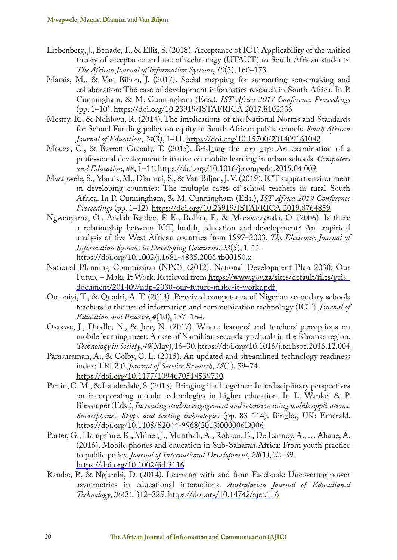- Liebenberg, J., Benade, T., & Ellis, S. (2018). Acceptance of ICT: Applicability of the unified theory of acceptance and use of technology (UTAUT) to South African students. *The African Journal of Information Systems*, *10*(3), 160–173.
- Marais, M., & Van Biljon, J. (2017). Social mapping for supporting sensemaking and collaboration: The case of development informatics research in South Africa. In P. Cunningham, & M. Cunningham (Eds.), *IST-Africa 2017 Conference Proceedings* (pp. 1–10). https://doi.org/10.23919/ISTAFRICA.2017.8102336
- Mestry, R., & Ndhlovu, R. (2014). The implications of the National Norms and Standards for School Funding policy on equity in South African public schools. *South African Journal of Education*, *34*(3), 1–11. https://doi.org/10.15700/201409161042
- Mouza, C., & Barrett-Greenly, T. (2015). Bridging the app gap: An examination of a professional development initiative on mobile learning in urban schools. *Computers and Education*, *88*, 1–14. https://doi.org/10.1016/j.compedu.2015.04.009
- Mwapwele, S., Marais, M., Dlamini, S., & Van Biljon, J. V. (2019). ICT support environment in developing countries: The multiple cases of school teachers in rural South Africa. In P. Cunningham, & M. Cunningham (Eds.), *IST-Africa 2019 Conference Proceedings* (pp. 1–12). https://doi.org/10.23919/ISTAFRICA.2019.8764859
- Ngwenyama, O., Andoh-Baidoo, F. K., Bollou, F., & Morawczynski, O. (2006). Is there a relationship between ICT, health, education and development? An empirical analysis of five West African countries from 1997–2003. *The Electronic Journal of Information Systems in Developing Countries*, *23*(5), 1–11. https://doi.org/10.1002/j.1681-4835.2006.tb00150.x
- National Planning Commission (NPC). (2012). National Development Plan 2030: Our Future – Make It Work. Retrieved from https://www.gov.za/sites/default/files/gcis\_ document/201409/ndp-2030-our-future-make-it-workr.pdf
- Omoniyi, T., & Quadri, A. T. (2013). Perceived competence of Nigerian secondary schools teachers in the use of information and communication technology (ICT). *Journal of Education and Practice*, *4*(10), 157–164.
- Osakwe, J., Dlodlo, N., & Jere, N. (2017). Where learners' and teachers' perceptions on mobile learning meet: A case of Namibian secondary schools in the Khomas region. *Technology in Society*, *49*(May), 16–30. https://doi.org/10.1016/j.techsoc.2016.12.004
- Parasuraman, A., & Colby, C. L. (2015). An updated and streamlined technology readiness index: TRI 2.0. *Journal of Service Research*, *18*(1), 59–74. https://doi.org/10.1177/1094670514539730
- Partin, C. M., & Lauderdale, S. (2013). Bringing it all together: Interdisciplinary perspectives on incorporating mobile technologies in higher education. In L. Wankel & P. Blessinger (Eds.), *Increasing student engagement and retention using mobile applications: Smartphones, Skype and texting technologies* (pp. 83–114). Bingley, UK: Emerald. https://doi.org/10.1108/S2044-9968(2013)000006D006
- Porter, G., Hampshire, K., Milner, J., Munthali, A., Robson, E., De Lannoy, A., … Abane, A. (2016). Mobile phones and education in Sub-Saharan Africa: From youth practice to public policy. *Journal of International Development*, *28*(1), 22–39. https://doi.org/10.1002/jid.3116
- Rambe, P., & Ng'ambi, D. (2014). Learning with and from Facebook: Uncovering power asymmetries in educational interactions. *Australasian Journal of Educational Technology*, *30*(3), 312–325. https://doi.org/10.14742/ajet.116